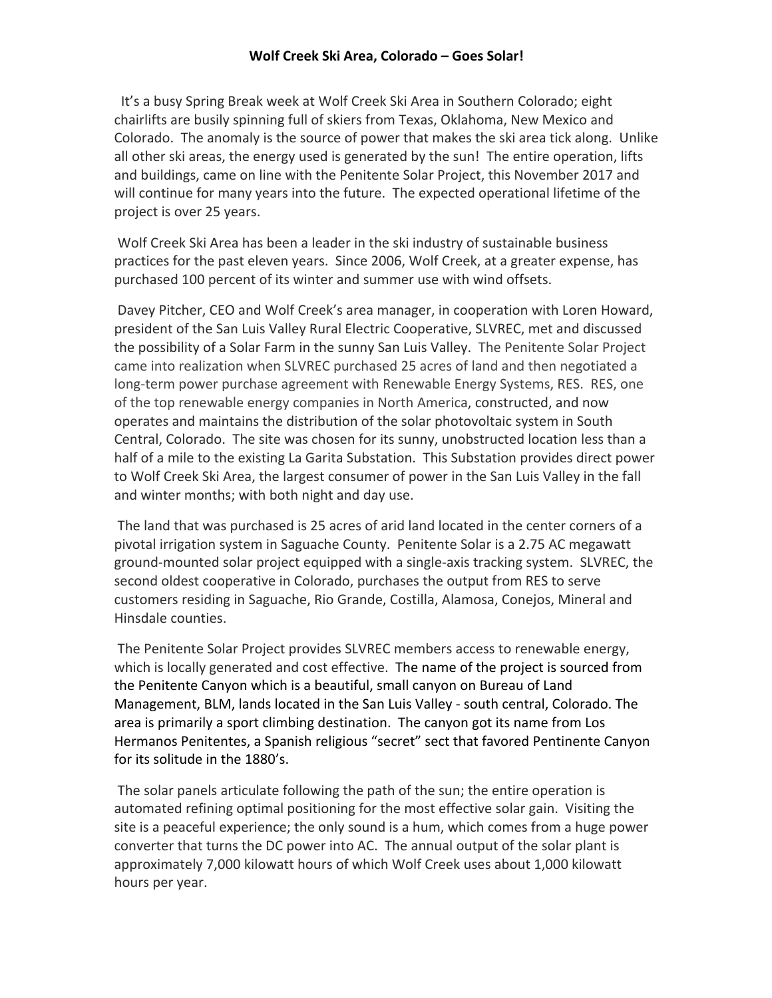## **Wolf Creek Ski Area, Colorado – Goes Solar!**

It's a busy Spring Break week at Wolf Creek Ski Area in Southern Colorado; eight chairlifts are busily spinning full of skiers from Texas, Oklahoma, New Mexico and Colorado. The anomaly is the source of power that makes the ski area tick along. Unlike all other ski areas, the energy used is generated by the sun! The entire operation, lifts and buildings, came on line with the Penitente Solar Project, this November 2017 and will continue for many years into the future. The expected operational lifetime of the project is over 25 years.

Wolf Creek Ski Area has been a leader in the ski industry of sustainable business practices for the past eleven years. Since 2006, Wolf Creek, at a greater expense, has purchased 100 percent of its winter and summer use with wind offsets.

Davey Pitcher, CEO and Wolf Creek's area manager, in cooperation with Loren Howard, president of the San Luis Valley Rural Electric Cooperative, SLVREC, met and discussed the possibility of a Solar Farm in the sunny San Luis Valley. The Penitente Solar Project came into realization when SLVREC purchased 25 acres of land and then negotiated a long-term power purchase agreement with Renewable Energy Systems, RES. RES, one of the top renewable energy companies in North America, constructed, and now operates and maintains the distribution of the solar photovoltaic system in South Central, Colorado. The site was chosen for its sunny, unobstructed location less than a half of a mile to the existing La Garita Substation. This Substation provides direct power to Wolf Creek Ski Area, the largest consumer of power in the San Luis Valley in the fall and winter months; with both night and day use.

The land that was purchased is 25 acres of arid land located in the center corners of a pivotal irrigation system in Saguache County. Penitente Solar is a 2.75 AC megawatt ground-mounted solar project equipped with a single-axis tracking system. SLVREC, the second oldest cooperative in Colorado, purchases the output from RES to serve customers residing in Saguache, Rio Grande, Costilla, Alamosa, Conejos, Mineral and Hinsdale counties.

The Penitente Solar Project provides SLVREC members access to renewable energy, which is locally generated and cost effective. The name of the project is sourced from the Penitente Canyon which is a beautiful, small canyon on Bureau of Land Management, BLM, lands located in the San Luis Valley - south central, Colorado. The area is primarily a sport climbing destination. The canyon got its name from Los Hermanos Penitentes, a Spanish religious "secret" sect that favored Pentinente Canyon for its solitude in the 1880's.

The solar panels articulate following the path of the sun; the entire operation is automated refining optimal positioning for the most effective solar gain. Visiting the site is a peaceful experience; the only sound is a hum, which comes from a huge power converter that turns the DC power into AC. The annual output of the solar plant is approximately 7,000 kilowatt hours of which Wolf Creek uses about 1,000 kilowatt hours per year.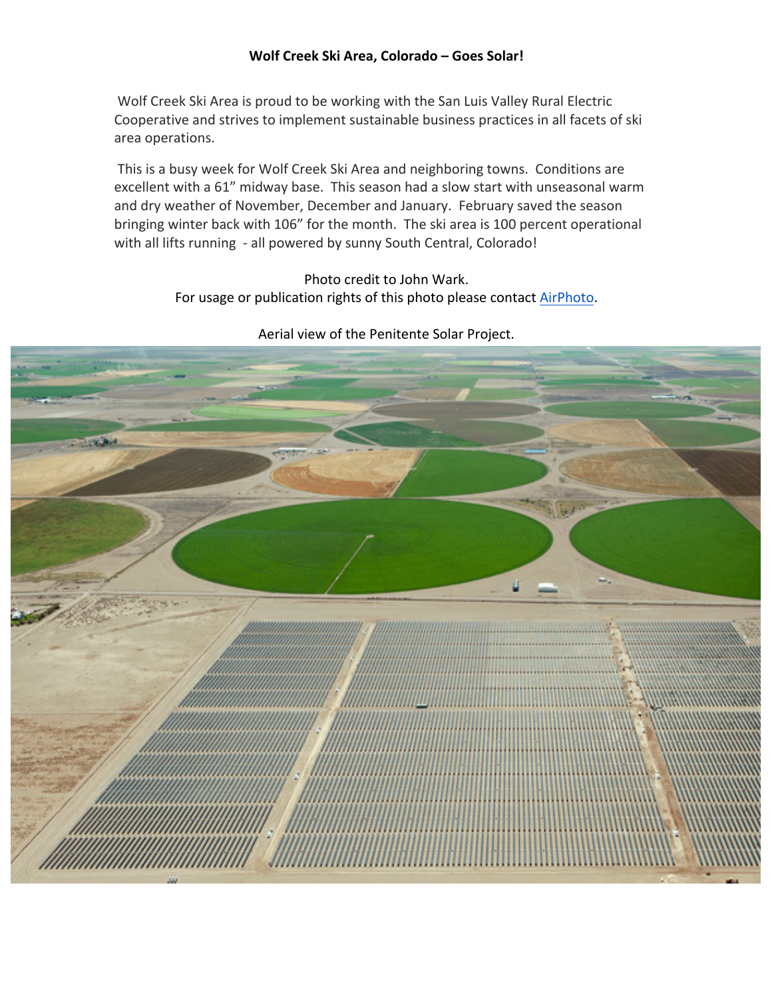## Wolf Creek Ski Area, Colorado - Goes Solar!

Wolf Creek Ski Area is proud to be working with the San Luis Valley Rural Electric Cooperative and strives to implement sustainable business practices in all facets of ski area operations.

This is a busy week for Wolf Creek Ski Area and neighboring towns. Conditions are excellent with a 61" midway base. This season had a slow start with unseasonal warm and dry weather of November, December and January. February saved the season bringing winter back with 106" for the month. The ski area is 100 percent operational with all lifts running - all powered by sunny South Central, Colorado!

> Photo credit to John Wark. For usage or publication rights of this photo please contact AirPhoto.



Aerial view of the Penitente Solar Project.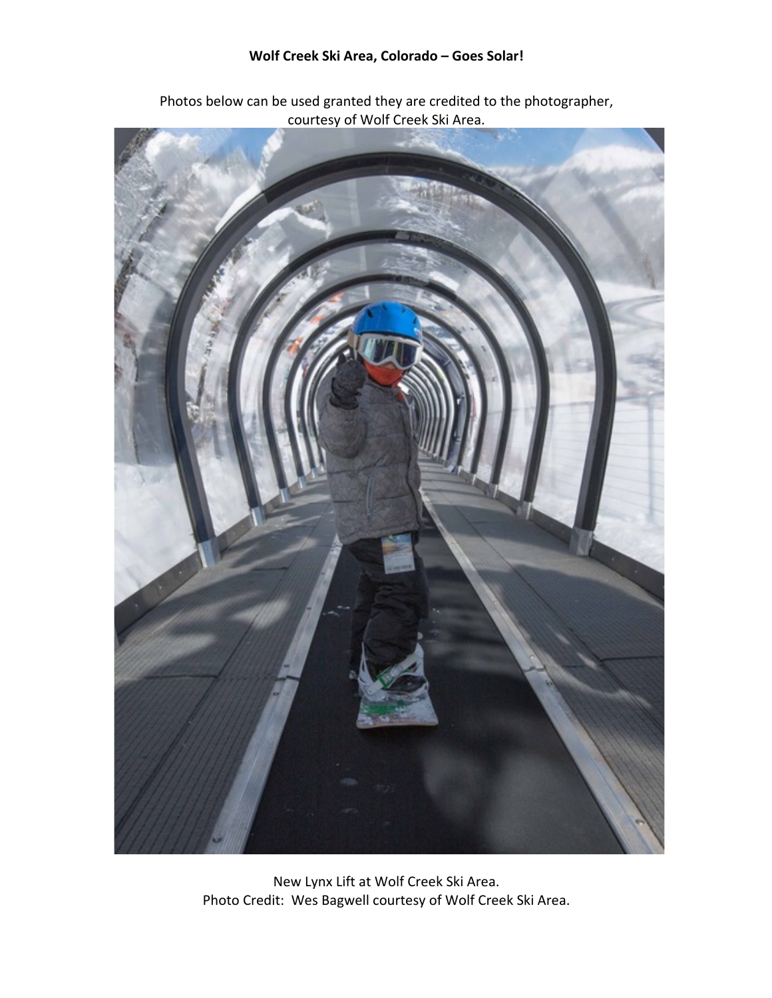## Wolf Creek Ski Area, Colorado - Goes Solar!



Photos below can be used granted they are credited to the photographer, courtesy of Wolf Creek Ski Area.

New Lynx Lift at Wolf Creek Ski Area. Photo Credit: Wes Bagwell courtesy of Wolf Creek Ski Area.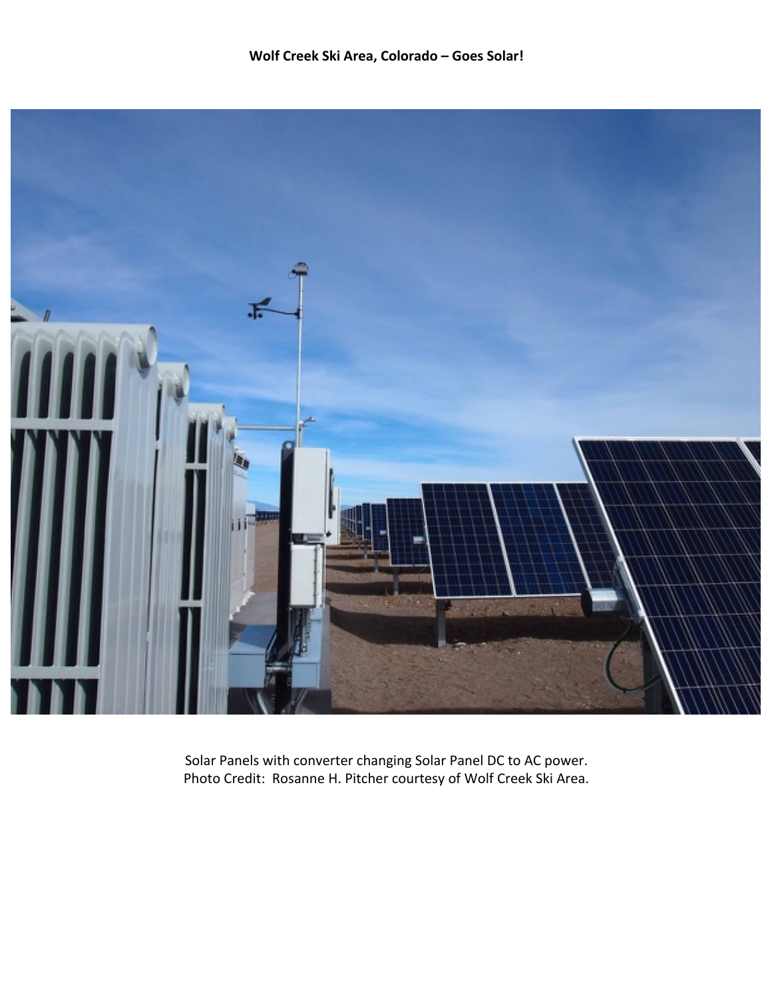

Solar Panels with converter changing Solar Panel DC to AC power. Photo Credit: Rosanne H. Pitcher courtesy of Wolf Creek Ski Area.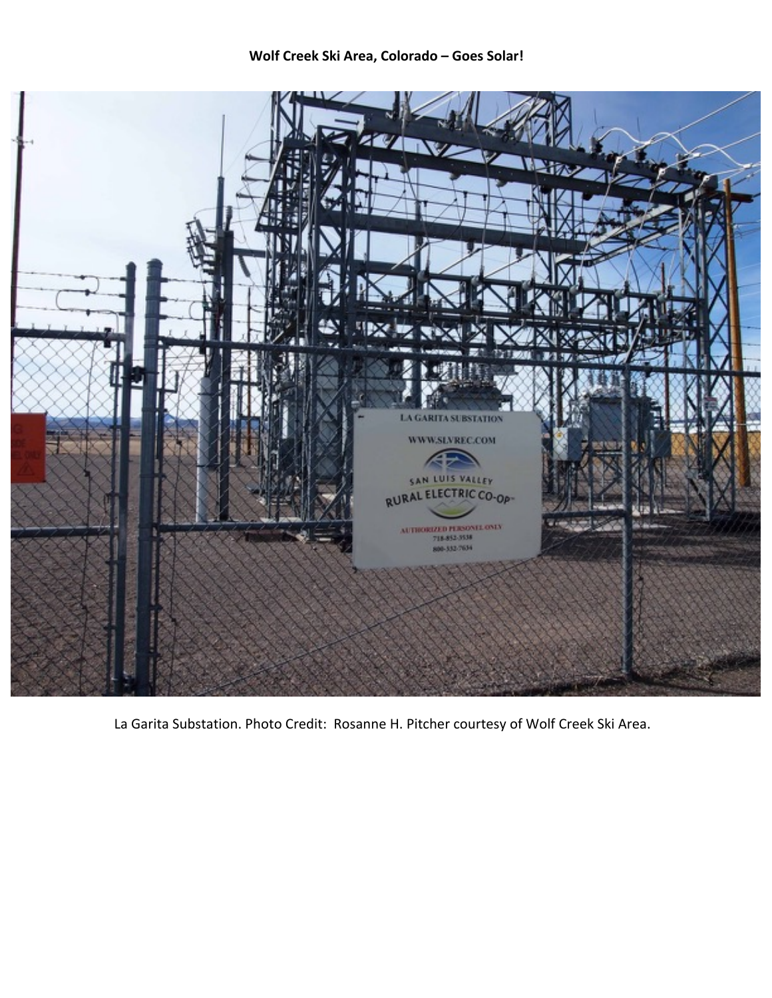

La Garita Substation. Photo Credit: Rosanne H. Pitcher courtesy of Wolf Creek Ski Area.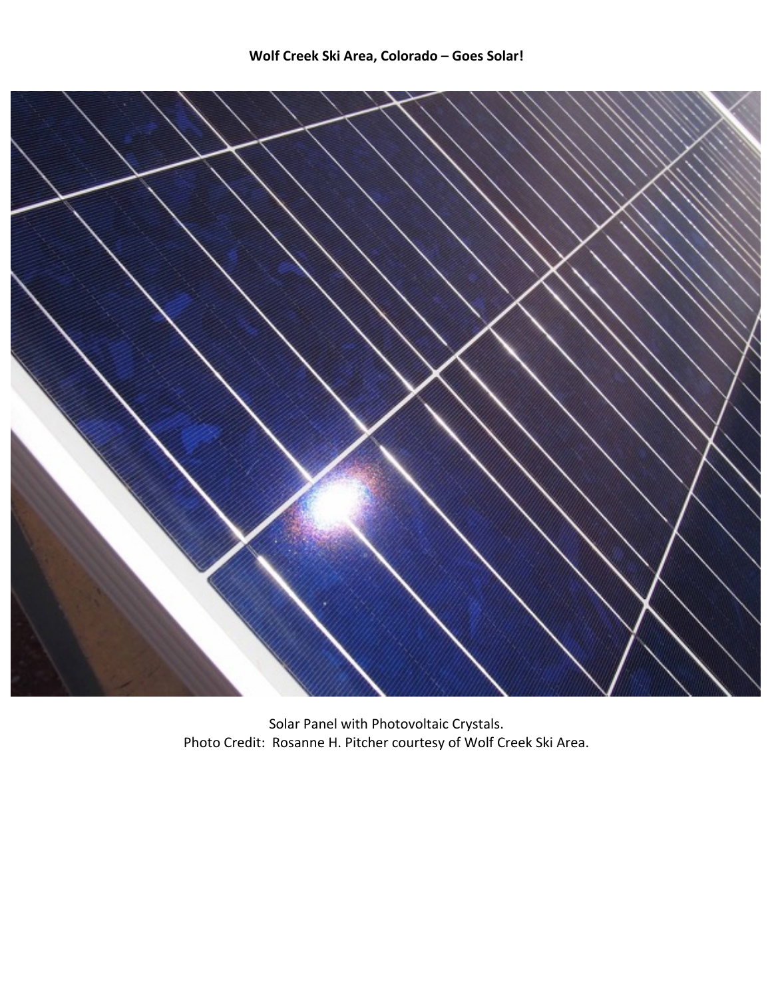

Solar Panel with Photovoltaic Crystals. Photo Credit: Rosanne H. Pitcher courtesy of Wolf Creek Ski Area.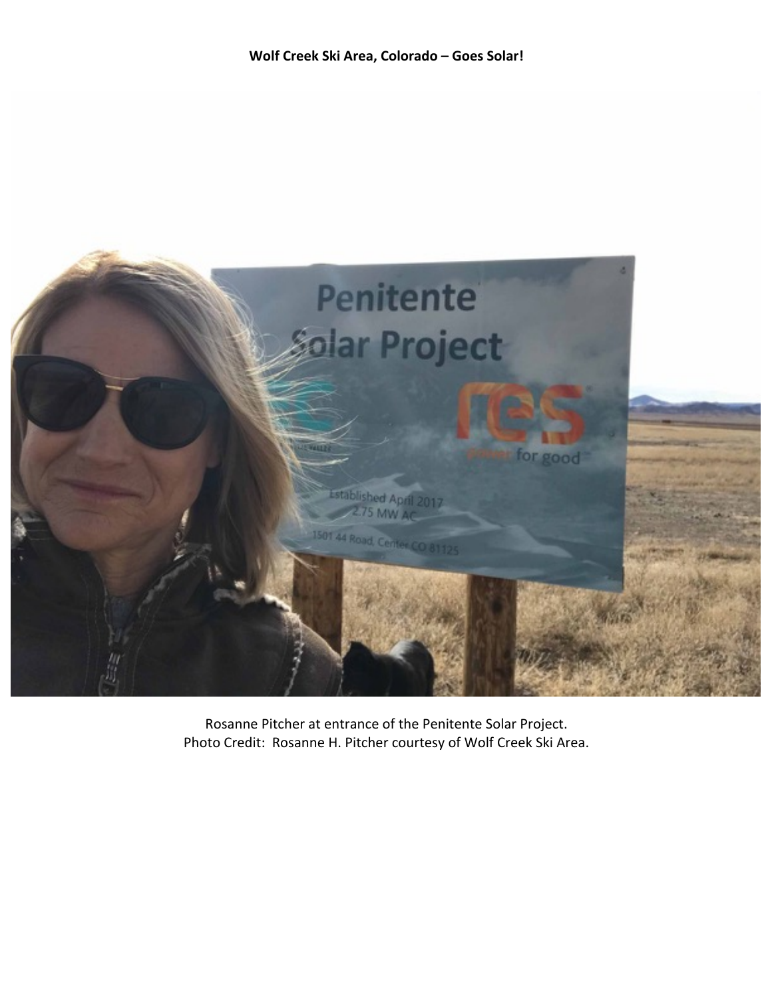

Rosanne Pitcher at entrance of the Penitente Solar Project. Photo Credit: Rosanne H. Pitcher courtesy of Wolf Creek Ski Area.